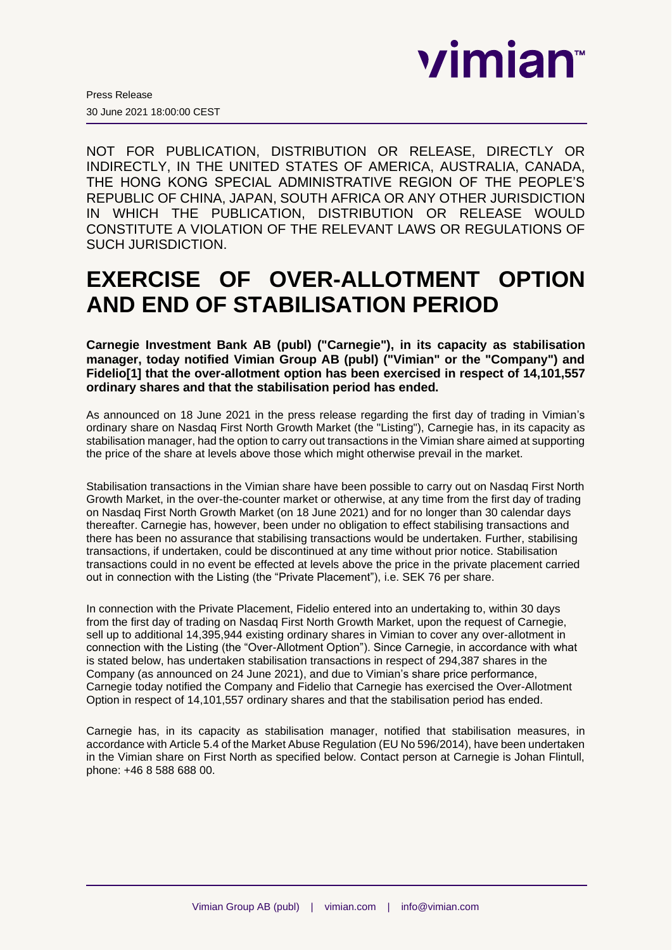

NOT FOR PUBLICATION, DISTRIBUTION OR RELEASE, DIRECTLY OR INDIRECTLY, IN THE UNITED STATES OF AMERICA, AUSTRALIA, CANADA, THE HONG KONG SPECIAL ADMINISTRATIVE REGION OF THE PEOPLE'S REPUBLIC OF CHINA, JAPAN, SOUTH AFRICA OR ANY OTHER JURISDICTION IN WHICH THE PUBLICATION, DISTRIBUTION OR RELEASE WOULD CONSTITUTE A VIOLATION OF THE RELEVANT LAWS OR REGULATIONS OF SUCH JURISDICTION.

# **EXERCISE OF OVER-ALLOTMENT OPTION AND END OF STABILISATION PERIOD**

**Carnegie Investment Bank AB (publ) ("Carnegie"), in its capacity as stabilisation manager, today notified Vimian Group AB (publ) ("Vimian" or the "Company") and Fidelio[1] that the over-allotment option has been exercised in respect of 14,101,557 ordinary shares and that the stabilisation period has ended.**

As announced on 18 June 2021 in the press release regarding the first day of trading in Vimian's ordinary share on Nasdaq First North Growth Market (the "Listing"), Carnegie has, in its capacity as stabilisation manager, had the option to carry out transactions in the Vimian share aimed at supporting the price of the share at levels above those which might otherwise prevail in the market.

Stabilisation transactions in the Vimian share have been possible to carry out on Nasdaq First North Growth Market, in the over-the-counter market or otherwise, at any time from the first day of trading on Nasdaq First North Growth Market (on 18 June 2021) and for no longer than 30 calendar days thereafter. Carnegie has, however, been under no obligation to effect stabilising transactions and there has been no assurance that stabilising transactions would be undertaken. Further, stabilising transactions, if undertaken, could be discontinued at any time without prior notice. Stabilisation transactions could in no event be effected at levels above the price in the private placement carried out in connection with the Listing (the "Private Placement"), i.e. SEK 76 per share.

In connection with the Private Placement, Fidelio entered into an undertaking to, within 30 days from the first day of trading on Nasdaq First North Growth Market, upon the request of Carnegie, sell up to additional 14,395,944 existing ordinary shares in Vimian to cover any over-allotment in connection with the Listing (the "Over-Allotment Option"). Since Carnegie, in accordance with what is stated below, has undertaken stabilisation transactions in respect of 294,387 shares in the Company (as announced on 24 June 2021), and due to Vimian's share price performance, Carnegie today notified the Company and Fidelio that Carnegie has exercised the Over-Allotment Option in respect of 14,101,557 ordinary shares and that the stabilisation period has ended.

Carnegie has, in its capacity as stabilisation manager, notified that stabilisation measures, in accordance with Article 5.4 of the Market Abuse Regulation (EU No 596/2014), have been undertaken in the Vimian share on First North as specified below. Contact person at Carnegie is Johan Flintull, phone: +46 8 588 688 00.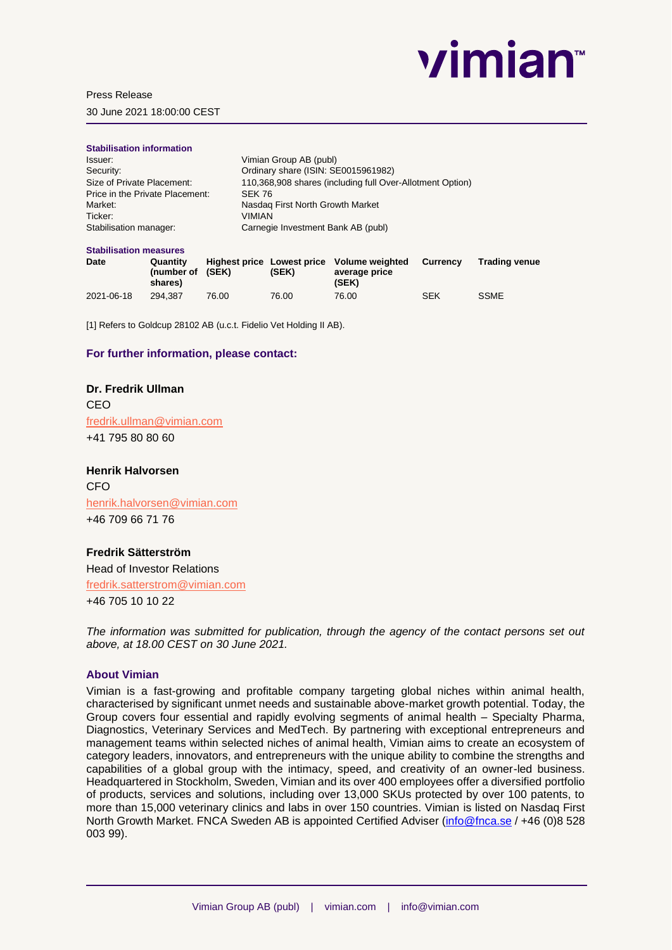

## Press Release

30 June 2021 18:00:00 CEST

| <b>Stabilisation information</b> |                                                           |
|----------------------------------|-----------------------------------------------------------|
| Issuer:                          | Vimian Group AB (publ)                                    |
| Security:                        | Ordinary share (ISIN: SE0015961982)                       |
| Size of Private Placement:       | 110,368,908 shares (including full Over-Allotment Option) |
| Price in the Private Placement:  | SEK 76                                                    |
| Market:                          | Nasdag First North Growth Market                          |
| Ticker:                          | <b>VIMIAN</b>                                             |
| Stabilisation manager:           | Carnegie Investment Bank AB (publ)                        |

#### **Stabilisation measures**

| Date       | Quantity<br>(number of (SEK)<br>shares) |       | (SEK) | Highest price Lowest price Volume weighted<br>average price<br>(SEK) | Currency   | Trading venue |
|------------|-----------------------------------------|-------|-------|----------------------------------------------------------------------|------------|---------------|
| 2021-06-18 | 294.387                                 | 76.00 | 76.00 | 76.00                                                                | <b>SEK</b> | <b>SSME</b>   |

[1] Refers to Goldcup 28102 AB (u.c.t. Fidelio Vet Holding II AB).

# **For further information, please contact:**

# **Dr. Fredrik Ullman** CEO [fredrik.ullman@vimian.com](mailto:fredrik.ullman@vimian.com) +41 795 80 80 60

**Henrik Halvorsen** CFO [henrik.halvorsen@vimian.com](mailto:henrik.halvorsen@vimian.com) +46 709 66 71 76

# **Fredrik Sätterström**

Head of Investor Relations [fredrik.satterstrom@vimian.com](mailto:fredrik.satterstrom@vimian.com) +46 705 10 10 22

*The information was submitted for publication, through the agency of the contact persons set out above, at 18.00 CEST on 30 June 2021.*

## **About Vimian**

Vimian is a fast-growing and profitable company targeting global niches within animal health, characterised by significant unmet needs and sustainable above-market growth potential. Today, the Group covers four essential and rapidly evolving segments of animal health – Specialty Pharma, Diagnostics, Veterinary Services and MedTech. By partnering with exceptional entrepreneurs and management teams within selected niches of animal health, Vimian aims to create an ecosystem of category leaders, innovators, and entrepreneurs with the unique ability to combine the strengths and capabilities of a global group with the intimacy, speed, and creativity of an owner-led business. Headquartered in Stockholm, Sweden, Vimian and its over 400 employees offer a diversified portfolio of products, services and solutions, including over 13,000 SKUs protected by over 100 patents, to more than 15,000 veterinary clinics and labs in over 150 countries. Vimian is listed on Nasdaq First North Growth Market. FNCA Sweden AB is appointed Certified Adviser [\(info@fnca.se](mailto:info@fnca.se) / +46 (0)8 528 003 99).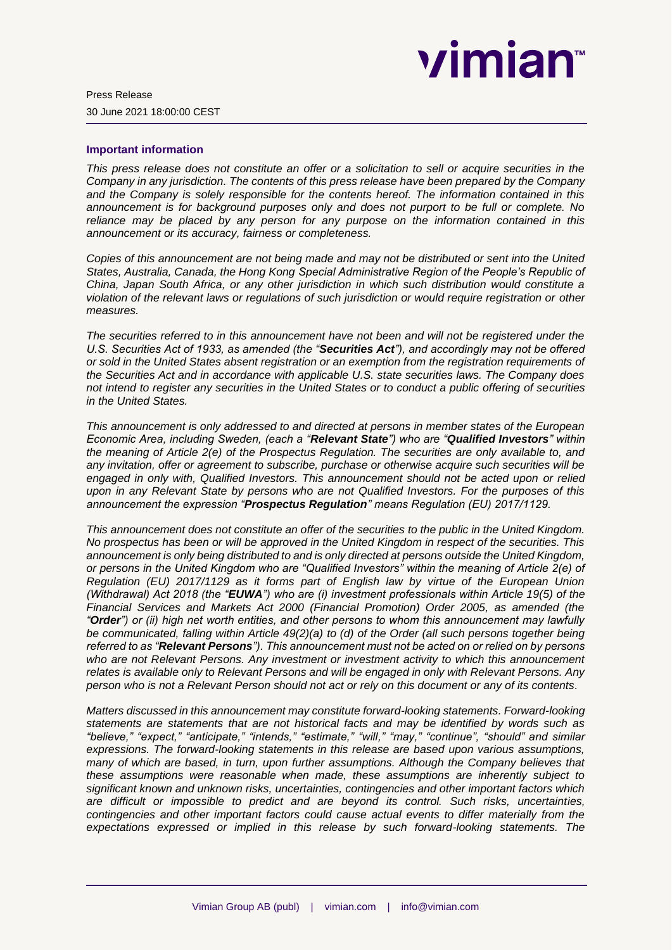# vimian™

# **Important information**

*This press release does not constitute an offer or a solicitation to sell or acquire securities in the Company in any jurisdiction. The contents of this press release have been prepared by the Company and the Company is solely responsible for the contents hereof. The information contained in this announcement is for background purposes only and does not purport to be full or complete. No reliance may be placed by any person for any purpose on the information contained in this announcement or its accuracy, fairness or completeness.*

*Copies of this announcement are not being made and may not be distributed or sent into the United States, Australia, Canada, the Hong Kong Special Administrative Region of the People's Republic of China, Japan South Africa, or any other jurisdiction in which such distribution would constitute a violation of the relevant laws or regulations of such jurisdiction or would require registration or other measures.*

*The securities referred to in this announcement have not been and will not be registered under the U.S. Securities Act of 1933, as amended (the "Securities Act"), and accordingly may not be offered or sold in the United States absent registration or an exemption from the registration requirements of the Securities Act and in accordance with applicable U.S. state securities laws. The Company does not intend to register any securities in the United States or to conduct a public offering of securities in the United States.* 

*This announcement is only addressed to and directed at persons in member states of the European Economic Area, including Sweden, (each a "Relevant State") who are "Qualified Investors" within the meaning of Article 2(e) of the Prospectus Regulation. The securities are only available to, and any invitation, offer or agreement to subscribe, purchase or otherwise acquire such securities will be engaged in only with, Qualified Investors. This announcement should not be acted upon or relied upon in any Relevant State by persons who are not Qualified Investors. For the purposes of this announcement the expression "Prospectus Regulation" means Regulation (EU) 2017/1129.*

*This announcement does not constitute an offer of the securities to the public in the United Kingdom. No prospectus has been or will be approved in the United Kingdom in respect of the securities. This announcement is only being distributed to and is only directed at persons outside the United Kingdom, or persons in the United Kingdom who are "Qualified Investors" within the meaning of Article 2(e) of Regulation (EU) 2017/1129 as it forms part of English law by virtue of the European Union (Withdrawal) Act 2018 (the "EUWA") who are (i) investment professionals within Article 19(5) of the Financial Services and Markets Act 2000 (Financial Promotion) Order 2005, as amended (the "Order") or (ii) high net worth entities, and other persons to whom this announcement may lawfully be communicated, falling within Article 49(2)(a) to (d) of the Order (all such persons together being referred to as "Relevant Persons"). This announcement must not be acted on or relied on by persons who are not Relevant Persons. Any investment or investment activity to which this announcement relates is available only to Relevant Persons and will be engaged in only with Relevant Persons. Any person who is not a Relevant Person should not act or rely on this document or any of its contents.*

*Matters discussed in this announcement may constitute forward-looking statements. Forward-looking statements are statements that are not historical facts and may be identified by words such as "believe," "expect," "anticipate," "intends," "estimate," "will," "may," "continue", "should" and similar expressions. The forward-looking statements in this release are based upon various assumptions, many of which are based, in turn, upon further assumptions. Although the Company believes that these assumptions were reasonable when made, these assumptions are inherently subject to significant known and unknown risks, uncertainties, contingencies and other important factors which are difficult or impossible to predict and are beyond its control. Such risks, uncertainties, contingencies and other important factors could cause actual events to differ materially from the expectations expressed or implied in this release by such forward-looking statements. The*